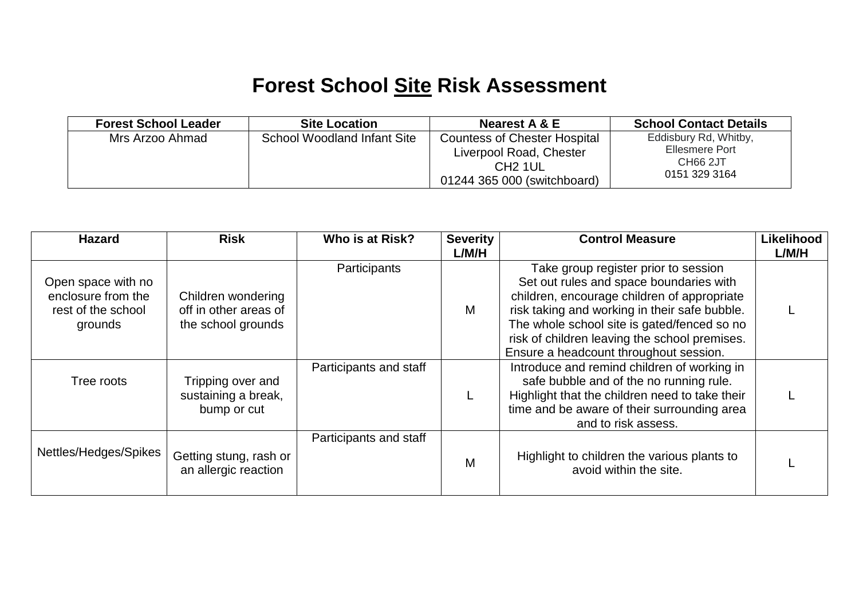## **Forest School Site Risk Assessment**

| <b>Forest School Leader</b> | <b>Site Location</b>        | Nearest A & E                                                                                                        | <b>School Contact Details</b>                                                    |
|-----------------------------|-----------------------------|----------------------------------------------------------------------------------------------------------------------|----------------------------------------------------------------------------------|
| Mrs Arzoo Ahmad             | School Woodland Infant Site | <b>Countess of Chester Hospital</b><br>Liverpool Road, Chester<br>CH <sub>2</sub> 1UL<br>01244 365 000 (switchboard) | Eddisbury Rd, Whitby,<br>Ellesmere Port<br>CH <sub>66</sub> 2JT<br>0151 329 3164 |

| <b>Hazard</b>                                                             | <b>Risk</b>                                                       | Who is at Risk?        | <b>Severity</b><br>L/M/H | <b>Control Measure</b>                                                                                                                                                                                                                                                                                                    | Likelihood<br>L/M/H |
|---------------------------------------------------------------------------|-------------------------------------------------------------------|------------------------|--------------------------|---------------------------------------------------------------------------------------------------------------------------------------------------------------------------------------------------------------------------------------------------------------------------------------------------------------------------|---------------------|
| Open space with no<br>enclosure from the<br>rest of the school<br>grounds | Children wondering<br>off in other areas of<br>the school grounds | Participants           | M                        | Take group register prior to session<br>Set out rules and space boundaries with<br>children, encourage children of appropriate<br>risk taking and working in their safe bubble.<br>The whole school site is gated/fenced so no<br>risk of children leaving the school premises.<br>Ensure a headcount throughout session. |                     |
| Tree roots                                                                | Tripping over and<br>sustaining a break,<br>bump or cut           | Participants and staff |                          | Introduce and remind children of working in<br>safe bubble and of the no running rule.<br>Highlight that the children need to take their<br>time and be aware of their surrounding area<br>and to risk assess.                                                                                                            |                     |
| Nettles/Hedges/Spikes                                                     | Getting stung, rash or<br>an allergic reaction                    | Participants and staff | М                        | Highlight to children the various plants to<br>avoid within the site.                                                                                                                                                                                                                                                     |                     |